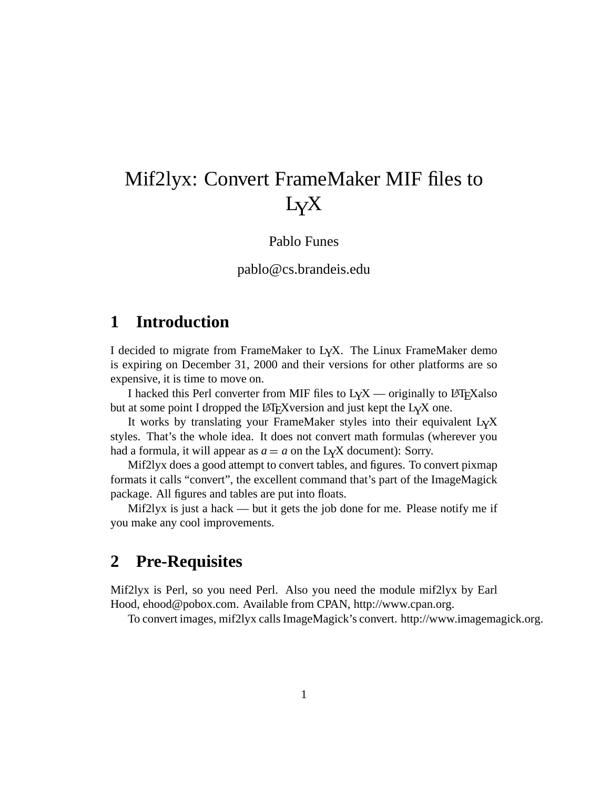# Mif2lyx: Convert FrameMaker MIF files to LYX

Pablo Funes

#### pablo@cs.brandeis.edu

# **1 Introduction**

I decided to migrate from FrameMaker to LYX. The Linux FrameMaker demo is expiring on December 31, 2000 and their versions for other platforms are so expensive, it is time to move on.

I hacked this Perl converter from MIF files to  $L<sub>Y</sub>X$  — originally to LATEX also but at some point I dropped the LAT<sub>E</sub>X version and just kept the L<sub>Y</sub>X one.

It works by translating your FrameMaker styles into their equivalent  $LyX$ styles. That's the whole idea. It does not convert math formulas (wherever you had a formula, it will appear as  $a = a$  on the L<sub>Y</sub>X document): Sorry.

Mif2lyx does a good attempt to convert tables, and figures. To convert pixmap formats it calls "convert", the excellent command that's part of the ImageMagick package. All figures and tables are put into floats.

Mif2lyx is just a hack — but it gets the job done for me. Please notify me if you make any cool improvements.

# **2 Pre-Requisites**

Mif2lyx is Perl, so you need Perl. Also you need the module mif2lyx by Earl Hood, ehood@pobox.com. Available from CPAN, http://www.cpan.org.

To convert images, mif2lyx callsImageMagick's convert. http://www.imagemagick.org.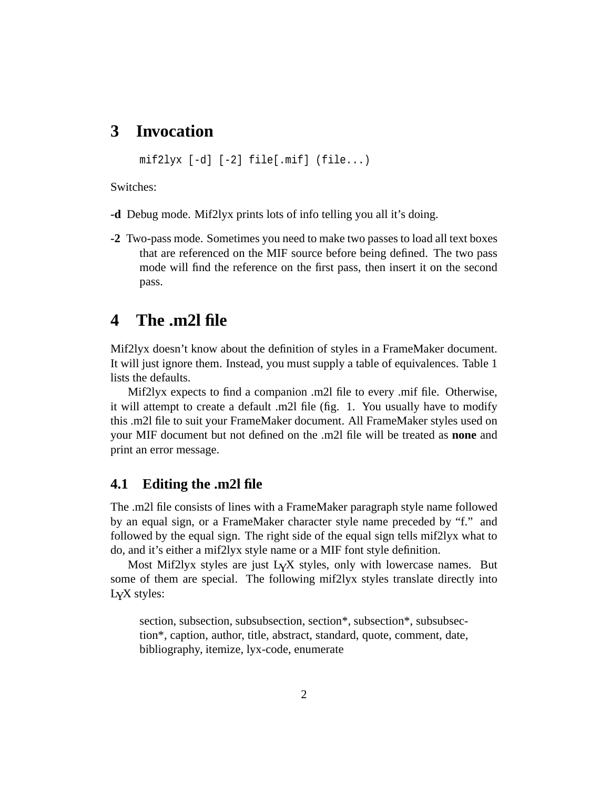# **3 Invocation**

 $mif2lyx [-d] [-2] file[ .mif] (file...)$ 

Switches:

- **-d** Debug mode. Mif2lyx prints lots of info telling you all it's doing.
- **-2** Two-pass mode. Sometimes you need to make two passes to load all text boxes that are referenced on the MIF source before being defined. The two pass mode will find the reference on the first pass, then insert it on the second pass.

### **4 The .m2l file**

Mif2lyx doesn't know about the definition of styles in a FrameMaker document. It will just ignore them. Instead, you must supply a table of equivalences. Table 1 lists the defaults.

Mif2lyx expects to find a companion .m2l file to every .mif file. Otherwise, it will attempt to create a default .m2l file (fig. 1. You usually have to modify this .m2l file to suit your FrameMaker document. All FrameMaker styles used on your MIF document but not defined on the .m2l file will be treated as **none** and print an error message.

#### **4.1 Editing the .m2l file**

The .m2l file consists of lines with a FrameMaker paragraph style name followed by an equal sign, or a FrameMaker character style name preceded by "f." and followed by the equal sign. The right side of the equal sign tells mif2lyx what to do, and it's either a mif2lyx style name or a MIF font style definition.

Most Mif2lyx styles are just L<sub>Y</sub>X styles, only with lowercase names. But some of them are special. The following mif2lyx styles translate directly into LYX styles:

section, subsection, subsubsection, section\*, subsection\*, subsubsection\*, caption, author, title, abstract, standard, quote, comment, date, bibliography, itemize, lyx-code, enumerate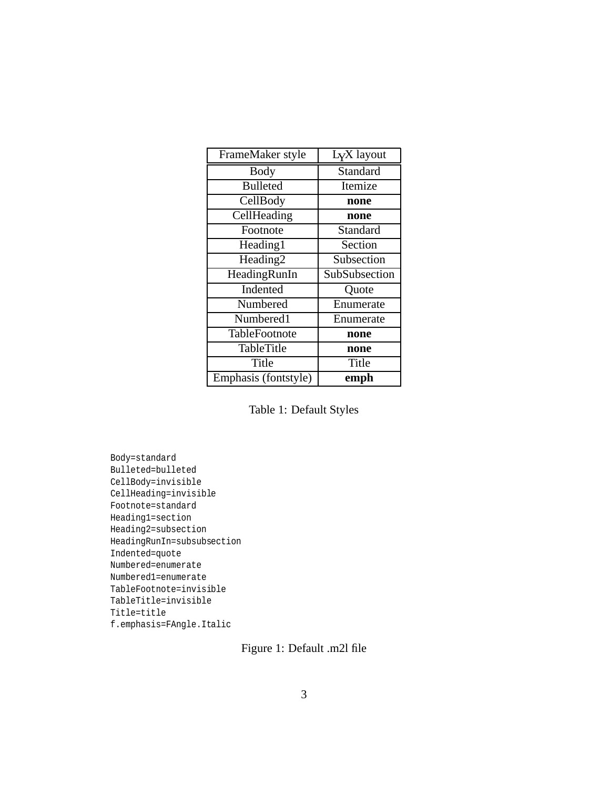| FrameMaker style     | L <sub>Y</sub> X layout |
|----------------------|-------------------------|
| <b>Body</b>          | Standard                |
| <b>Bulleted</b>      | Itemize                 |
| CellBody             | none                    |
| CellHeading          | none                    |
| Footnote             | Standard                |
| Heading1             | Section                 |
| Heading <sub>2</sub> | Subsection              |
| HeadingRunIn         | SubSubsection           |
| Indented             | Quote                   |
| Numbered             | Enumerate               |
| Numbered1            | Enumerate               |
| TableFootnote        | none                    |
| <b>TableTitle</b>    | none                    |
| Title                | Title                   |
| Emphasis (fontstyle) | emph                    |

Table 1: Default Styles

Body=standard Bulleted=bulleted CellBody=invisible CellHeading=invisible Footnote=standard Heading1=section Heading2=subsection HeadingRunIn=subsubsection Indented=quote Numbered=enumerate Numbered1=enumerate TableFootnote=invisible TableTitle=invisible Title=title f.emphasis=FAngle.Italic

Figure 1: Default .m2l file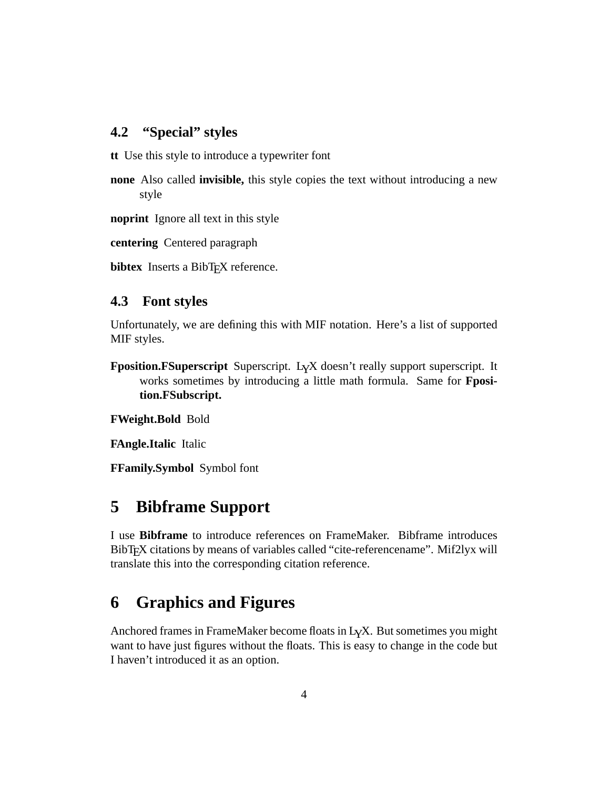### **4.2 "Special" styles**

**tt** Use this style to introduce a typewriter font

**none** Also called **invisible,** this style copies the text without introducing a new style

**noprint** Ignore all text in this style

**centering** Centered paragraph

**bibtex** Inserts a BibT<sub>E</sub>X reference.

#### **4.3 Font styles**

Unfortunately, we are defining this with MIF notation. Here's a list of supported MIF styles.

**Fposition.FSuperscript** Superscript. L<sub>Y</sub>X doesn't really support superscript. It works sometimes by introducing a little math formula. Same for **Fposition.FSubscript.**

**FWeight.Bold** Bold

**FAngle.Italic** Italic

**FFamily.Symbol** Symbol font

# **5 Bibframe Support**

I use **Bibframe** to introduce references on FrameMaker. Bibframe introduces BibT<sub>E</sub>X citations by means of variables called "cite-referencename". Mif2lyx will translate this into the corresponding citation reference.

# **6 Graphics and Figures**

Anchored frames in FrameMaker become floats in LYX. But sometimes you might want to have just figures without the floats. This is easy to change in the code but I haven't introduced it as an option.